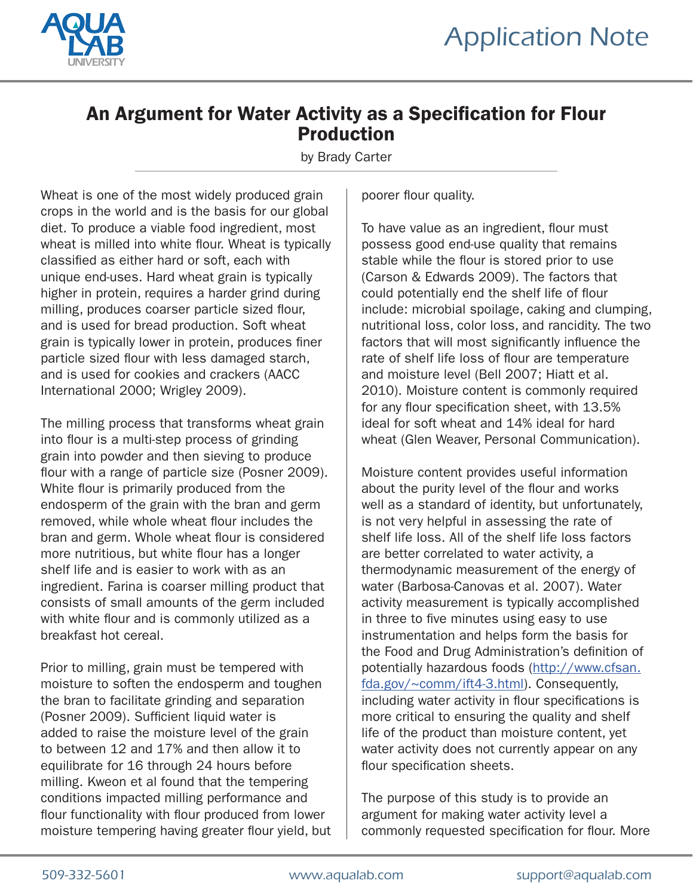



# An Argument for Water Activity as a Specification for Flour Production

by Brady Carter

Wheat is one of the most widely produced grain crops in the world and is the basis for our global diet. To produce a viable food ingredient, most wheat is milled into white flour. Wheat is typically classified as either hard or soft, each with unique end-uses. Hard wheat grain is typically higher in protein, requires a harder grind during milling, produces coarser particle sized flour, and is used for bread production. Soft wheat grain is typically lower in protein, produces finer particle sized flour with less damaged starch, and is used for cookies and crackers (AACC International 2000; Wrigley 2009).

The milling process that transforms wheat grain into flour is a multi-step process of grinding grain into powder and then sieving to produce flour with a range of particle size (Posner 2009). White flour is primarily produced from the endosperm of the grain with the bran and germ removed, while whole wheat flour includes the bran and germ. Whole wheat flour is considered more nutritious, but white flour has a longer shelf life and is easier to work with as an ingredient. Farina is coarser milling product that consists of small amounts of the germ included with white flour and is commonly utilized as a breakfast hot cereal.

Prior to milling, grain must be tempered with moisture to soften the endosperm and toughen the bran to facilitate grinding and separation (Posner 2009). Sufficient liquid water is added to raise the moisture level of the grain to between 12 and 17% and then allow it to equilibrate for 16 through 24 hours before milling. Kweon et al found that the tempering conditions impacted milling performance and flour functionality with flour produced from lower moisture tempering having greater flour yield, but poorer flour quality.

To have value as an ingredient, flour must possess good end-use quality that remains stable while the flour is stored prior to use (Carson & Edwards 2009). The factors that could potentially end the shelf life of flour include: microbial spoilage, caking and clumping, nutritional loss, color loss, and rancidity. The two factors that will most significantly influence the rate of shelf life loss of flour are temperature and moisture level (Bell 2007; Hiatt et al. 2010). Moisture content is commonly required for any flour specification sheet, with 13.5% ideal for soft wheat and 14% ideal for hard wheat (Glen Weaver, Personal Communication).

Moisture content provides useful information about the purity level of the flour and works well as a standard of identity, but unfortunately, is not very helpful in assessing the rate of shelf life loss. All of the shelf life loss factors are better correlated to water activity, a thermodynamic measurement of the energy of water (Barbosa-Canovas et al. 2007). Water activity measurement is typically accomplished in three to five minutes using easy to use instrumentation and helps form the basis for the Food and Drug Administration's definition of potentially hazardous foods (http://www.cfsan. fda.gov/~comm/ift4-3.html). Consequently, including water activity in flour specifications is more critical to ensuring the quality and shelf life of the product than moisture content, yet water activity does not currently appear on any flour specification sheets.

The purpose of this study is to provide an argument for making water activity level a commonly requested specification for flour. More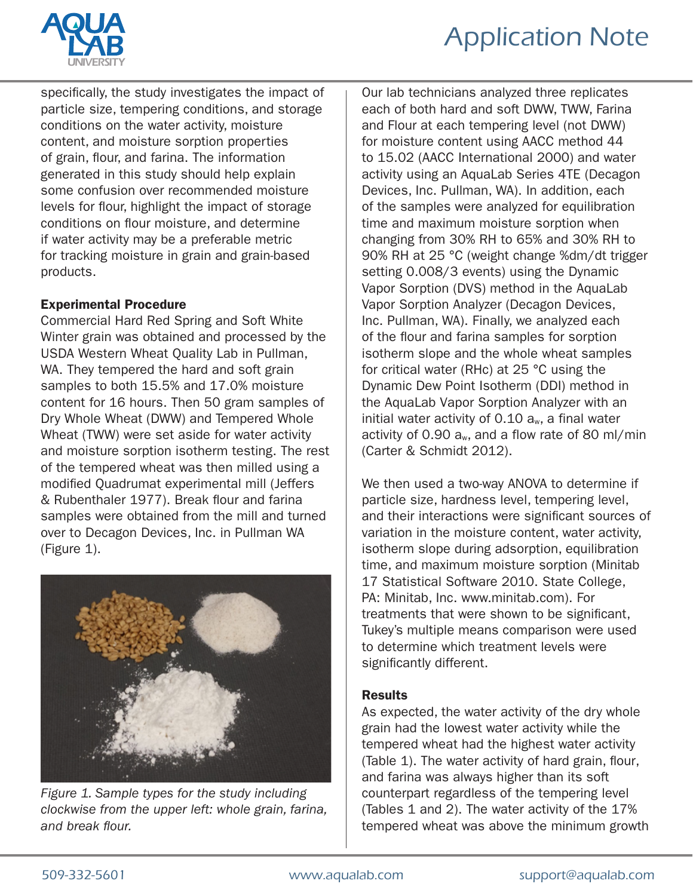

# Application Note

specifically, the study investigates the impact of particle size, tempering conditions, and storage conditions on the water activity, moisture content, and moisture sorption properties of grain, flour, and farina. The information generated in this study should help explain some confusion over recommended moisture levels for flour, highlight the impact of storage conditions on flour moisture, and determine if water activity may be a preferable metric for tracking moisture in grain and grain-based products.

## Experimental Procedure

Commercial Hard Red Spring and Soft White Winter grain was obtained and processed by the USDA Western Wheat Quality Lab in Pullman, WA. They tempered the hard and soft grain samples to both 15.5% and 17.0% moisture content for 16 hours. Then 50 gram samples of Dry Whole Wheat (DWW) and Tempered Whole Wheat (TWW) were set aside for water activity and moisture sorption isotherm testing. The rest of the tempered wheat was then milled using a modified Quadrumat experimental mill (Jeffers & Rubenthaler 1977). Break flour and farina samples were obtained from the mill and turned over to Decagon Devices, Inc. in Pullman WA (Figure 1).



*Figure 1. Sample types for the study including clockwise from the upper left: whole grain, farina, and break flour.*

Our lab technicians analyzed three replicates each of both hard and soft DWW, TWW, Farina and Flour at each tempering level (not DWW) for moisture content using AACC method 44 to 15.02 (AACC International 2000) and water activity using an AquaLab Series 4TE (Decagon Devices, Inc. Pullman, WA). In addition, each of the samples were analyzed for equilibration time and maximum moisture sorption when changing from 30% RH to 65% and 30% RH to 90% RH at 25 °C (weight change %dm/dt trigger setting 0.008/3 events) using the Dynamic Vapor Sorption (DVS) method in the AquaLab Vapor Sorption Analyzer (Decagon Devices, Inc. Pullman, WA). Finally, we analyzed each of the flour and farina samples for sorption isotherm slope and the whole wheat samples for critical water (RHc) at 25 °C using the Dynamic Dew Point Isotherm (DDI) method in the AquaLab Vapor Sorption Analyzer with an initial water activity of  $0.10$  a<sub>w</sub>, a final water activity of 0.90  $a_w$ , and a flow rate of 80 ml/min (Carter & Schmidt 2012).

We then used a two-way ANOVA to determine if particle size, hardness level, tempering level, and their interactions were significant sources of variation in the moisture content, water activity, isotherm slope during adsorption, equilibration time, and maximum moisture sorption (Minitab 17 Statistical Software 2010. State College, PA: Minitab, Inc. www.minitab.com). For treatments that were shown to be significant, Tukey's multiple means comparison were used to determine which treatment levels were significantly different.

#### Results

As expected, the water activity of the dry whole grain had the lowest water activity while the tempered wheat had the highest water activity (Table 1). The water activity of hard grain, flour, and farina was always higher than its soft counterpart regardless of the tempering level (Tables 1 and 2). The water activity of the 17% tempered wheat was above the minimum growth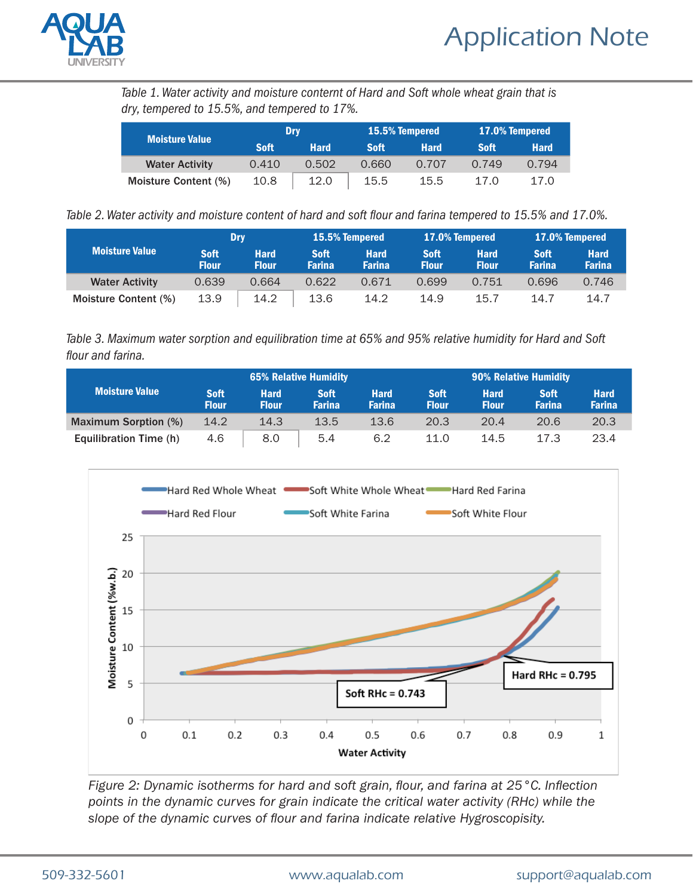

*Table 1. Water activity and moisture conternt of Hard and Soft whole wheat grain that is dry, tempered to 15.5%, and tempered to 17%.*

| <b>Moisture Value</b> | Drv         |             |             | <b>15.5% Tempered</b> | <b>17.0% Tempered</b> |             |  |
|-----------------------|-------------|-------------|-------------|-----------------------|-----------------------|-------------|--|
|                       | <b>Soft</b> | <b>Hard</b> | <b>Soft</b> | <b>Hard</b>           | <b>Soft</b>           | <b>Hard</b> |  |
| <b>Water Activity</b> | 0.410       | 0.502       | 0.660       | 0.707                 | 0.749                 | 0.794       |  |
| Moisture Content (%)  | 10.8        | 12.0        | 15.5        | 15.5                  | 17 O                  | 17.0        |  |

*Table 2. Water activity and moisture content of hard and soft flour and farina tempered to 15.5% and 17.0%.*

| <b>Moisture Value</b> | Dry                         |                             | 15.5% Tempered               |                              | 17.0% Tempered              |                             | <b>17.0% Tempered</b>        |                              |
|-----------------------|-----------------------------|-----------------------------|------------------------------|------------------------------|-----------------------------|-----------------------------|------------------------------|------------------------------|
|                       | <b>Soft</b><br><b>Flour</b> | <b>Hard</b><br><b>Flour</b> | <b>Soft</b><br><b>Farina</b> | <b>Hard</b><br><b>Farina</b> | <b>Soft</b><br><b>Flour</b> | <b>Hard</b><br><b>Flour</b> | <b>Soft</b><br><b>Farina</b> | <b>Hard</b><br><b>Farina</b> |
| <b>Water Activity</b> | 0.639                       | 0.664                       | 0.622                        | 0.671                        | 0.699                       | 0.751                       | 0.696                        | 0.746                        |
| Moisture Content (%)  | 13.9                        | 14.2                        | 13.6                         | 14.2                         | 14.9                        | 15.7                        | 14.7                         | 14.7                         |

*Table 3. Maximum water sorption and equilibration time at 65% and 95% relative humidity for Hard and Soft flour and farina.*

| <b>Moisture Value</b>       | <b>65% Relative Humidity</b> |                             |                              |                              | <b>90% Relative Humidity</b> |                             |                              |                              |
|-----------------------------|------------------------------|-----------------------------|------------------------------|------------------------------|------------------------------|-----------------------------|------------------------------|------------------------------|
|                             | <b>Soft</b><br><b>Flour</b>  | <b>Hard</b><br><b>Flour</b> | <b>Soft</b><br><b>Farina</b> | <b>Hard</b><br><b>Farina</b> | <b>Soft</b><br><b>Flour</b>  | <b>Hard</b><br><b>Flour</b> | <b>Soft</b><br><b>Farina</b> | <b>Hard</b><br><b>Farina</b> |
| <b>Maximum Sorption (%)</b> | 14.2                         | 14.3                        | 13.5                         | 13.6                         | 20.3                         | 20.4                        | 20.6                         | 20.3                         |
| Equilibration Time (h)      | 4.6                          | 8.0                         | 5.4                          | 6.2                          | 11.0                         | 14.5                        | 17.3                         | 23.4                         |



*Figure 2: Dynamic isotherms for hard and soft grain, flour, and farina at 25°C. Inflection points in the dynamic curves for grain indicate the critical water activity (RHc) while the slope of the dynamic curves of flour and farina indicate relative Hygroscopisity.*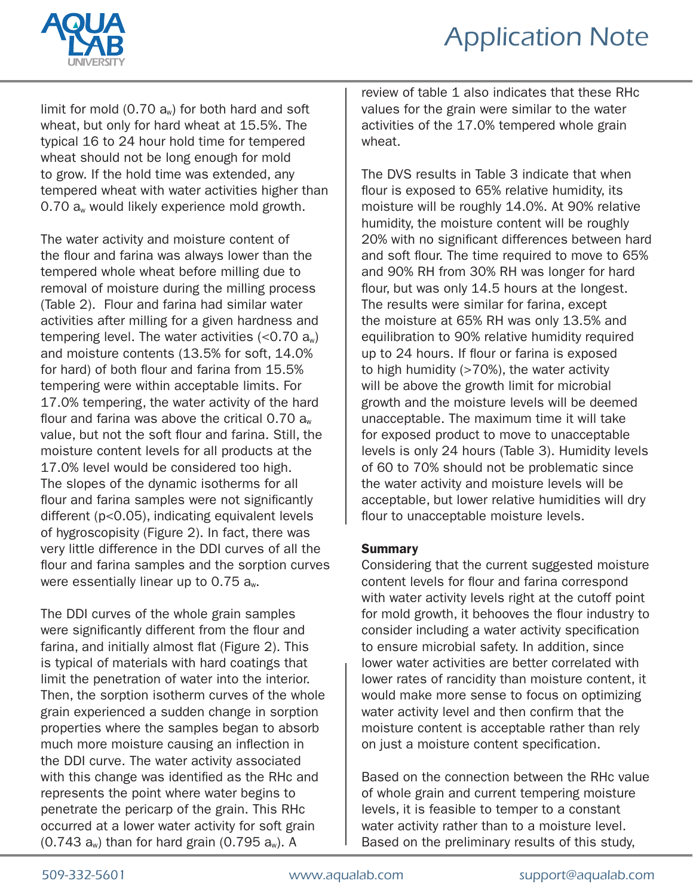

limit for mold  $(0.70 a<sub>w</sub>)$  for both hard and soft wheat, but only for hard wheat at 15.5%. The typical 16 to 24 hour hold time for tempered wheat should not be long enough for mold to grow. If the hold time was extended, any tempered wheat with water activities higher than 0.70 a<sub>w</sub> would likely experience mold growth.

The water activity and moisture content of the flour and farina was always lower than the tempered whole wheat before milling due to removal of moisture during the milling process (Table 2). Flour and farina had similar water activities after milling for a given hardness and tempering level. The water activities  $(<0.70 a<sub>w</sub>)$ and moisture contents (13.5% for soft, 14.0% for hard) of both flour and farina from 15.5% tempering were within acceptable limits. For 17.0% tempering, the water activity of the hard flour and farina was above the critical  $0.70$  a<sub>w</sub> value, but not the soft flour and farina. Still, the moisture content levels for all products at the 17.0% level would be considered too high. The slopes of the dynamic isotherms for all flour and farina samples were not significantly different (p<0.05), indicating equivalent levels of hygroscopisity (Figure 2). In fact, there was very little difference in the DDI curves of all the flour and farina samples and the sorption curves were essentially linear up to  $0.75$  a<sub>w</sub>.

The DDI curves of the whole grain samples were significantly different from the flour and farina, and initially almost flat (Figure 2). This is typical of materials with hard coatings that limit the penetration of water into the interior. Then, the sorption isotherm curves of the whole grain experienced a sudden change in sorption properties where the samples began to absorb much more moisture causing an inflection in the DDI curve. The water activity associated with this change was identified as the RHc and represents the point where water begins to penetrate the pericarp of the grain. This RHc occurred at a lower water activity for soft grain  $(0.743$  a<sub>w</sub>) than for hard grain  $(0.795$  a<sub>w</sub>). A

review of table 1 also indicates that these RHc values for the grain were similar to the water activities of the 17.0% tempered whole grain wheat.

The DVS results in Table 3 indicate that when flour is exposed to 65% relative humidity, its moisture will be roughly 14.0%. At 90% relative humidity, the moisture content will be roughly 20% with no significant differences between hard and soft flour. The time required to move to 65% and 90% RH from 30% RH was longer for hard flour, but was only 14.5 hours at the longest. The results were similar for farina, except the moisture at 65% RH was only 13.5% and equilibration to 90% relative humidity required up to 24 hours. If flour or farina is exposed to high humidity (>70%), the water activity will be above the growth limit for microbial growth and the moisture levels will be deemed unacceptable. The maximum time it will take for exposed product to move to unacceptable levels is only 24 hours (Table 3). Humidity levels of 60 to 70% should not be problematic since the water activity and moisture levels will be acceptable, but lower relative humidities will dry flour to unacceptable moisture levels.

## **Summary**

Considering that the current suggested moisture content levels for flour and farina correspond with water activity levels right at the cutoff point for mold growth, it behooves the flour industry to consider including a water activity specification to ensure microbial safety. In addition, since lower water activities are better correlated with lower rates of rancidity than moisture content, it would make more sense to focus on optimizing water activity level and then confirm that the moisture content is acceptable rather than rely on just a moisture content specification.

Based on the connection between the RHc value of whole grain and current tempering moisture levels, it is feasible to temper to a constant water activity rather than to a moisture level. Based on the preliminary results of this study,